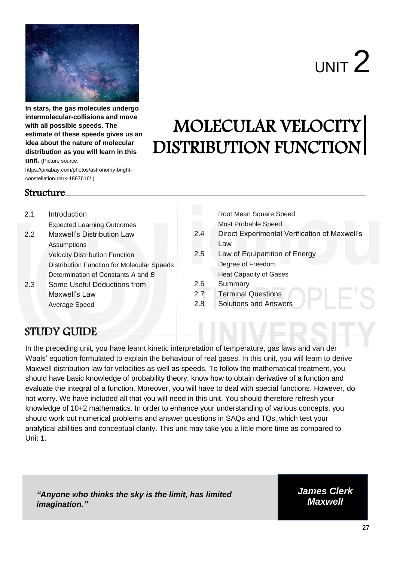

**In stars, the gas molecules undergo intermolecular-collisions and move with all possible speeds. The estimate of these speeds gives us an idea about the nature of molecular distribution as you will learn in this unit.** (Picture source:

 $UNIT<sup>2</sup>$ 

# MOLECULAR VELOCITY DISTRIBUTION FUNCTION

https://pixabay.com/photos/astronomy-brightconstellation-dark-1867616/ )

#### Structure

#### 2.1 Introduction Expected Learning Outcomes 2.2 Maxwell's Distribution Law Assumptions Velocity Distribution Function Distribution Function for Molecular Speeds Determination of Constants *A* and *B* 2.3 Some Useful Deductions from Maxwell's Law Average Speed Root Mean Square Speed Most Probable Speed 2.4 Direct Experimental Verification of Maxwell's Law 2.5 Law of Equipartition of Energy Degree of Freedom Heat Capacity of Gases 2.6 Summary 2.7 Terminal Questions 2.8 Solutions and Answers

# STUDY GUIDE

In the preceding unit, you have learnt kinetic interpretation of temperature, gas laws and van der Waals' equation formulated to explain the behaviour of real gases. In this unit, you will learn to derive Maxwell distribution law for velocities as well as speeds. To follow the mathematical treatment, you should have basic knowledge of probability theory, know how to obtain derivative of a function and evaluate the integral of a function. Moreover, you will have to deal with special functions. However, do not worry. We have included all that you will need in this unit. You should therefore refresh your knowledge of 10+2 mathematics. In order to enhance your understanding of various concepts, you should work out numerical problems and answer questions in SAQs and TQs, which test your analytical abilities and conceptual clarity. This unit may take you a little more time as compared to Unit 1.

*"Anyone who thinks the sky is the limit, has limited imagination."*

*James Clerk Maxwell*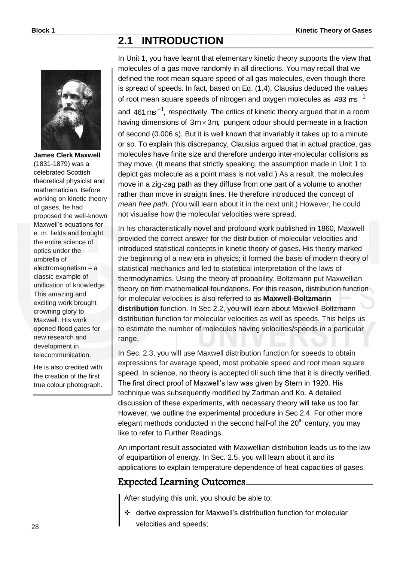# **2.1 INTRODUCTION**



**James Clerk Maxwell**  (1831-1879) was a celebrated Scottish theoretical physicist and mathematician. Before working on kinetic theory of gases, he had proposed the well-known Maxwell's equations for e. m. fields and brought the entire science of optics under the umbrella of  $electromagnetism - a$ classic example of unification of knowledge. This amazing and exciting work brought crowning glory to Maxwell. His work opened flood gates for new research and development in telecommunication.

He is also credited with the creation of the first true colour photograph. In Unit 1, you have learnt that elementary kinetic theory supports the view that molecules of a gas move randomly in all directions. You may recall that we defined the root mean square speed of all gas molecules, even though there is spread of speeds. In fact, based on Eq. (1.4), Clausius deduced the values of root mean square speeds of nitrogen and oxygen molecules as 493  $ms^{-1}$ and  $461 \text{ ms}^{-1}$ , respectively. The critics of kinetic theory argued that in a room having dimensions of  $3m \times 3m$ , pungent odour should permeate in a fraction of second (0.006 s). But it is well known that invariably it takes up to a minute or so. To explain this discrepancy, Clausius argued that in actual practice, gas molecules have finite size and therefore undergo inter-molecular collisions as they move. (It means that strictly speaking, the assumption made in Unit 1 to depict gas molecule as a point mass is not valid.) As a result, the molecules move in a zig-zag path as they diffuse from one part of a volume to another rather than move in straight lines. He therefore introduced the concept of *mean free path*. (You will learn about it in the next unit.) However, he could not visualise how the molecular velocities were spread.

In his characteristically novel and profound work published in 1860, Maxwell provided the correct answer for the distribution of molecular velocities and introduced statistical concepts in kinetic theory of gases. His theory marked the beginning of a new era in physics; it formed the basis of modern theory of statistical mechanics and led to statistical interpretation of the laws of thermodynamics. Using the theory of probability, Boltzmann put Maxwellian theory on firm mathematical foundations. For this reason, distribution function for molecular velocities is also referred to as **Maxwell-Boltzmann distribution** function. In Sec 2.2, you will learn about Maxwell-Boltzmann distribution function for molecular velocities as well as speeds. This helps us to estimate the number of molecules having velocities/speeds in a particular range.

In Sec. 2.3, you will use Maxwell distribution function for speeds to obtain expressions for average speed, most probable speed and root mean square speed. In science, no theory is accepted till such time that it is directly verified. The first direct proof of Maxwell's law was given by Stern in 1920. His technique was subsequently modified by Zartman and Ko. A detailed discussion of these experiments, with necessary theory will take us too far. However, we outline the experimental procedure in Sec 2.4. For other more elegant methods conducted in the second half-of the  $20<sup>th</sup>$  century, you may like to refer to Further Readings.

An important result associated with Maxwellian distribution leads us to the law of equipartition of energy. In Sec. 2.5, you will learn about it and its applications to explain temperature dependence of heat capacities of gases.

## Expected Learning Outcomes

After studying this unit, you should be able to:

 derive expression for Maxwell's distribution function for molecular velocities and speeds;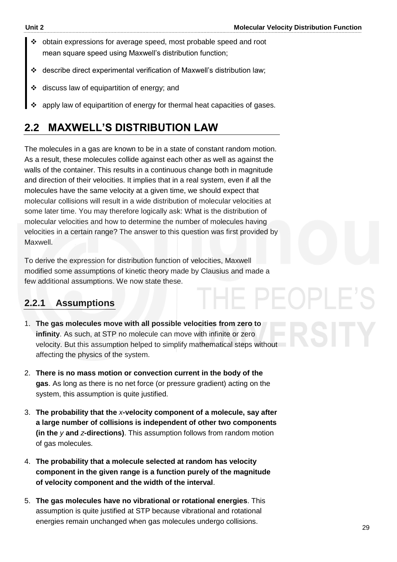11 PF

- obtain expressions for average speed, most probable speed and root mean square speed using Maxwell's distribution function;
- describe direct experimental verification of Maxwell's distribution law;
- discuss law of equipartition of energy; and
- apply law of equipartition of energy for thermal heat capacities of gases.

# **2.2 MAXWELL'S DISTRIBUTION LAW**

The molecules in a gas are known to be in a state of constant random motion. As a result, these molecules collide against each other as well as against the walls of the container. This results in a continuous change both in magnitude and direction of their velocities. It implies that in a real system, even if all the molecules have the same velocity at a given time, we should expect that molecular collisions will result in a wide distribution of molecular velocities at some later time. You may therefore logically ask: What is the distribution of molecular velocities and how to determine the number of molecules having velocities in a certain range? The answer to this question was first provided by Maxwell.

To derive the expression for distribution function of velocities, Maxwell modified some assumptions of kinetic theory made by Clausius and made a few additional assumptions. We now state these.

#### **2.2.1 Assumptions**

- 1. **The gas molecules move with all possible velocities from zero to infinity**. As such, at STP no molecule can move with infinite or zero velocity. But this assumption helped to simplify mathematical steps without affecting the physics of the system.
- 2. **There is no mass motion or convection current in the body of the gas**. As long as there is no net force (or pressure gradient) acting on the system, this assumption is quite justified.
- 3. **The probability that the** *x***-velocity component of a molecule, say after a large number of collisions is independent of other two components (in the** *y* **and** *z***-directions)**. This assumption follows from random motion of gas molecules.
- 4. **The probability that a molecule selected at random has velocity component in the given range is a function purely of the magnitude of velocity component and the width of the interval**.
- 5. **The gas molecules have no vibrational or rotational energies**. This assumption is quite justified at STP because vibrational and rotational energies remain unchanged when gas molecules undergo collisions.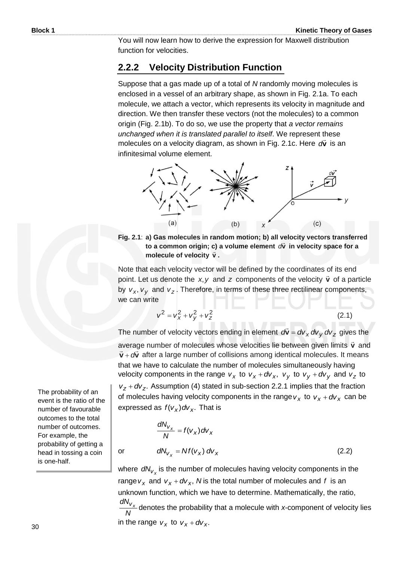You will now learn how to derive the expression for Maxwell distribution function for velocities.

#### **2.2.2 Velocity Distribution Function**

Suppose that a gas made up of a total of *N* randomly moving molecules is enclosed in a vessel of an arbitrary shape, as shown in Fig. 2.1a. To each molecule, we attach a vector, which represents its velocity in magnitude and direction. We then transfer these vectors (not the molecules) to a common origin (Fig. 2.1b). To do so, we use the property that *a vector remains unchanged when it is translated parallel to itself*. We represent these molecules on a velocity diagram, as shown in Fig. 2.1c. Here dv ֦֧֦֪֦֦֦֦֦֦֦֦֦֦֦֦֦֦֦֦֦֦֦֦֦֡֟֟֘֟ *d* is an infinitesimal volume element.



**Fig. 2.1**: **a) Gas molecules in random motion; b) all velocity vectors transferred**   $\alpha$  cas increased in random motion, by an velocity vectors transient to a common origin; c) a volume element  $\alpha \hat{v}$  in velocity space for a **molecule of velocity**  $\vec{v}$ **.** 

Note that each velocity vector will be defined by the coordinates of its end point. Let us denote the  $x, y$  and z components of the velocity  $\vec{v}$  $\vec{v}$  of a particle by  $v_x$ ,  $v_y$  and  $v_z$ . Therefore, in terms of these three rectilinear components, we can write

$$
v^2 = v_x^2 + v_y^2 + v_z^2 \tag{2.1}
$$

The number of velocity vectors ending in element  $d\vec{v} = dv_x dv_y dv_z$  gives the average number of molecules whose velocities lie between given limits **v**  $\vec{v}$  and  $\vec{v}$  +  $d\vec{v}$  $\vec{v}$  +  $d\vec{v}$  after a large number of collisions among identical molecules. It means that we have to calculate the number of molecules simultaneously having velocity components in the range  $v_x$  to  $v_x + dv_x$ ,  $v_y$  to  $v_y + dv_y$  and  $v_z$  to  $v_z + dv_z$ . Assumption (4) stated in sub-section 2.2.1 implies that the fraction of molecules having velocity components in the range  $v_x$  to  $v_x + dv_x$  can be expressed as  $f(v_x)dv_x$ . That is

$$
\frac{dN_{V_X}}{N} = f(V_X) dV_X
$$
  
or 
$$
dN_{V_X} = Nf(V_X) dV_X
$$
 (2.2)

where  $dN_{V_X}$  is the number of molecules having velocity components in the range  $v_x$  and  $v_x + dv_x$ , N is the total number of molecules and f is an unknown function, which we have to determine. Mathematically, the ratio, *N*  $\frac{dN_{V_{x}}}{dt}$  denotes the probability that a molecule with *x*-component of velocity lies

in the range  $v_x$  to  $v_x + dv_x$ .

The probability of an event is the ratio of the number of favourable outcomes to the total number of outcomes. For example, the probability of getting a head in tossing a coin is one-half.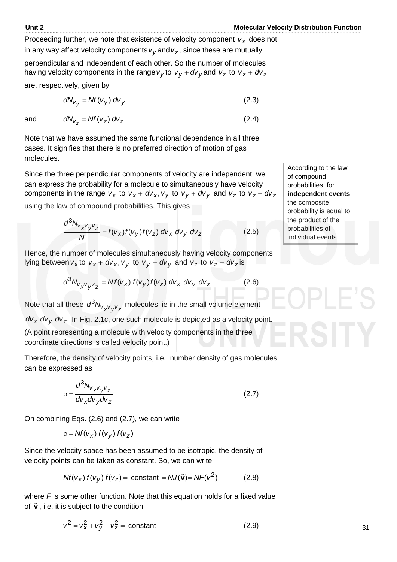(2.4)

Proceeding further, we note that existence of velocity component  $v_x$  does not in any way affect velocity components  $v_y$  and  $v_z$ , since these are mutually

perpendicular and independent of each other. So the number of molecules having velocity components in the range  $v_y$  to  $v_y$  +  $dv_y$  and  $v_z$  to  $v_z$  +  $dv_z$ 

are, respectively, given by

$$
dN_{V_y} = Nf(V_y) dv_y \tag{2.3}
$$

and  $dN_{V_Z} = Nf(V_Z) dV_Z$ 

Note that we have assumed the same functional dependence in all three cases. It signifies that there is no preferred direction of motion of gas molecules.

Since the three perpendicular components of velocity are independent, we can express the probability for a molecule to simultaneously have velocity components in the range  $v_x$  to  $v_x + dv_x$ ,  $v_y$  to  $v_y + dv_y$  and  $v_z$  to  $v_z + dv_z$ using the law of compound probabilities. This gives

$$
\frac{d^3 N_{V_X V_Y V_Z}}{N} = f(v_X) f(v_Y) f(v_Z) dv_X dv_Y dv_Z
$$
 (2.5)

Hence, the number of molecules simultaneously having velocity components lying between  $v_x$  to  $v_x$  +  $dv_x$ ,  $v_y$  to  $v_y$  +  $dv_y$  and  $v_z$  to  $v_z$  +  $dv_z$  is

$$
d^3N_{V_XV_YV_Z} = Nf(V_X) f(V_Y) f(V_Z) dv_X dv_Y dv_Z
$$
 (2.6)

Note that all these  $d^3N_{V_XV_{Y}V_Z}$  molecules lie in the small volume element dv<sub>x</sub> dv<sub>y</sub> dv<sub>z</sub>. In Fig. 2.1c, one such molecule is depicted as a velocity point. (A point representing a molecule with velocity components in the three coordinate directions is called velocity point.)

Therefore, the density of velocity points, i.e., number density of gas molecules can be expressed as

$$
\rho = \frac{d^3 N_{V_X V_Y V_Z}}{d V_X d V_Y d V_Z} \tag{2.7}
$$

On combining Eqs. (2.6) and (2.7), we can write

$$
\rho = Nf(v_x) f(v_y) f(v_z)
$$

Since the velocity space has been assumed to be isotropic, the density of velocity points can be taken as constant. So, we can write

$$
Nf(v_x) f(v_y) f(v_z) = \text{constant} = NJ(\vec{v}) = NF(v^2)
$$
 (2.8)

where *F* is some other function. Note that this equation holds for a fixed value of **v** , i.e. it is subject to the condition

$$
v^2 = v_x^2 + v_y^2 + v_z^2 = \text{constant}
$$
 (2.9)

According to the law of compound probabilities, for **independent events**, the composite probability is equal to the product of the probabilities of individual events.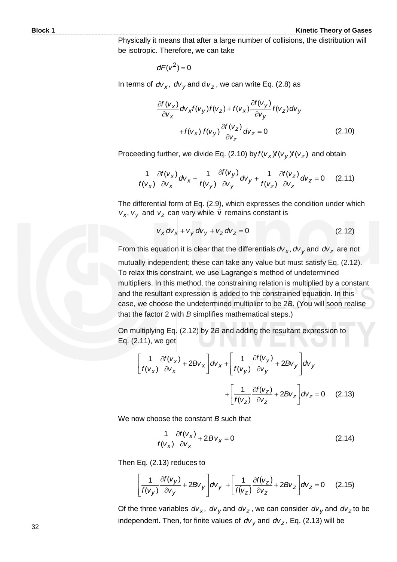Physically it means that after a large number of collisions, the distribution will be isotropic. Therefore, we can take

$$
dF(v^2)=0
$$

In terms of  $d v_x$ *,*  $d v_y$  and d  $v_z$  , we can write Eq. (2.8) as

$$
\frac{\partial f(v_x)}{\partial v_x} dv_x f(v_y) f(v_z) + f(v_x) \frac{\partial f(v_y)}{\partial v_y} f(v_z) dv_y
$$
  
+  $f(v_x) f(v_y) \frac{\partial f(v_z)}{\partial v_z} dv_z = 0$  (2.10)

Proceeding further, we divide Eq. (2.10) by  $f(v_x)f(v_y)f(v_z)$  and obtain

$$
\frac{1}{f(v_x)}\frac{\partial f(v_x)}{\partial v_x}dv_x + \frac{1}{f(v_y)}\frac{\partial f(v_y)}{\partial v_y}dv_y + \frac{1}{f(v_z)}\frac{\partial f(v_z)}{\partial v_z}dv_z = 0 \quad (2.11)
$$

The differential form of Eq.  $(2.9)$ , which expresses the condition under which  $v_x$ ,  $v_y$  and  $v_z$  can vary while  $\vec{v}$  remains constant is

$$
v_x dv_x + v_y dv_y + v_z dv_z = 0
$$
 (2.12)

From this equation it is clear that the differentials *dv<sup>x</sup> , dv<sup>y</sup>* and *dv<sup>z</sup>* are not mutually independent; these can take any value but must satisfy Eq. (2.12). To relax this constraint, we use Lagrange's method of undetermined multipliers. In this method, the constraining relation is multiplied by a constant and the resultant expression is added to the constrained equation. In this case, we choose the undetermined multiplier to be 2*B*. (You will soon realise that the factor 2 with *B* simplifies mathematical steps.)

On multiplying Eq. (2.12) by 2*B* and adding the resultant expression to Eq. (2.11), we get

$$
\left[\frac{1}{f(v_x)}\frac{\partial f(v_x)}{\partial v_x} + 2Bv_x\right]dv_x + \left[\frac{1}{f(v_y)}\frac{\partial f(v_y)}{\partial v_y} + 2Bv_y\right]dv_y
$$

$$
+ \left[\frac{1}{f(v_z)}\frac{\partial f(v_z)}{\partial v_z} + 2Bv_z\right]dv_z = 0 \quad (2.13)
$$

We now choose the constant *B* such that

$$
\frac{1}{f(v_x)}\frac{\partial f(v_x)}{\partial v_x} + 2Bv_x = 0
$$
\n(2.14)

Then Eq. (2.13) reduces to

$$
\left[\frac{1}{f(v_y)}\frac{\partial f(v_y)}{\partial v_y} + 2Bv_y\right]dv_y + \left[\frac{1}{f(v_z)}\frac{\partial f(v_z)}{\partial v_z} + 2Bv_z\right]dv_z = 0 \quad (2.15)
$$

Of the three variables  $dv_x$ ,  $dv_y$  and  $dv_z$ , we can consider  $dv_y$  and  $dv_z$  to be independent. Then, for finite values of *dv<sup>y</sup>* and *dv<sup>z</sup>* , Eq. (2.13) will be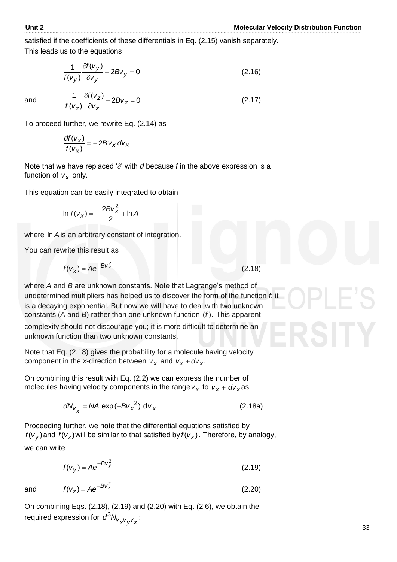satisfied if the coefficients of these differentials in Eq. (2.15) vanish separately. This leads us to the equations

$$
\frac{1}{f(v_y)}\frac{\partial f(v_y)}{\partial v_y} + 2Bv_y = 0\tag{2.16}
$$

and  $\frac{1}{f(x)} \frac{\partial f(v_z)}{\partial x} + 2Bv_z = 0$ 

To proceed further, we rewrite Eq. (2.14) as

*z z*

 $\partial$  $\partial$ 

*v vf*

 $\frac{1}{\sqrt{2}}\frac{\partial f(v_z)}{\partial z} + 2Bv_z =$ 

*z*

*Bv*

 $(v_z)$ 

*vf*

*z*

$$
\frac{df(v_x)}{f(v_x)} = -2Bv_x dv_x
$$

Note that we have replaced ' $\partial$ ' with  $d$  because  $f$  in the above expression is a function of  $v_x$  only.

This equation can be easily integrated to obtain

$$
\ln f(V_X) = -\frac{2Bv_X^2}{2} + \ln A
$$

where ln *A* is an arbitrary constant of integration.

You can rewrite this result as

$$
f(v_x) = Ae^{-Bv_x^2}
$$
 (2.18)

where *A* and *B* are unknown constants. Note that Lagrange's method of undetermined multipliers has helped us to discover the form of the function *f*; it is a decaying exponential. But now we will have to deal with two unknown constants (*A* and *B*) rather than one unknown function (*f* ). This apparent

complexity should not discourage you; it is more difficult to determine an unknown function than two unknown constants.

Note that Eq. (2.18) gives the probability for a molecule having velocity component in the *x*-direction between  $v_x$  and  $v_x + dv_x$ .

On combining this result with Eq. (2.2) we can express the number of molecules having velocity components in the range  $v_x$  to  $v_x + dv_x$  as

$$
dN_{V_X} = N A \exp(-B{V_X}^2) dV_X
$$
 (2.18a)

Proceeding further, we note that the differential equations satisfied by  $f(v_y)$  and  $f(v_z)$  will be similar to that satisfied by  $f(v_x)$ . Therefore, by analogy, we can write

$$
f(v_y) = Ae^{-Bv_y^2}
$$
 (2.19)

and

$$
f(v_z) = Ae^{-Bv_z^2}
$$
 (2.20)

On combining Eqs. (2.18), (2.19) and (2.20) with Eq. (2.6), we obtain the required expression for  $d^3N_{V_{\chi}V_{\chi}V_{\chi}^2}$ :

(2.18)

(2.17)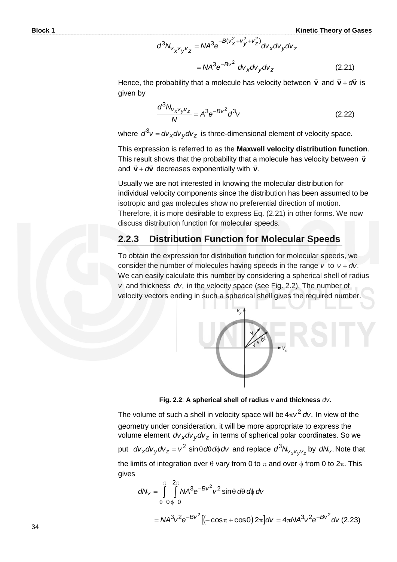$$
d^{3}N_{V_{X}V_{Y}V_{Z}} = N A^{3} e^{-B(V_{X}^{2} + V_{Y}^{2} + V_{Z}^{2})} dv_{X} dv_{Y} dv_{Z}
$$

$$
= N A^{3} e^{-B V^{2}} dv_{X} dv_{Y} dv_{Z}
$$
(2.21)

Hence, the probability that a molecule has velocity between **v**  $\vec{v}$  and  $\vec{v}$  +  $\vec{\alpha v}$  $\vec{v} + d\vec{v}$  is given by

$$
\frac{d^3N_{V_xV_yV_z}}{N} = A^3e^{-Bv^2}d^3v\tag{2.22}
$$

where  $d^3v = dv_x dv_y dv_z$  is three-dimensional element of velocity space.

This expression is referred to as the **Maxwell velocity distribution function**. This result shows that the probability that a molecule has velocity between **v**  $\frac{1}{\pi}$ and  $\vec{v}$  +  $\vec{\alpha v}$  $\vec{v}$  +  $d\vec{v}$  decreases exponentially with  $\vec{v}$ .  $\frac{a}{c}$ 

Usually we are not interested in knowing the molecular distribution for individual velocity components since the distribution has been assumed to be isotropic and gas molecules show no preferential direction of motion. Therefore, it is more desirable to express Eq. (2.21) in other forms. We now discuss distribution function for molecular speeds.

#### **2.2.3 Distribution Function for Molecular Speeds**

To obtain the expression for distribution function for molecular speeds, we consider the number of molecules having speeds in the range  $v$  to  $v + dv$ . We can easily calculate this number by considering a spherical shell of radius *v* and thickness *dv*, in the velocity space (see Fig. 2.2). The number of velocity vectors ending in such a spherical shell gives the required number.



**Fig. 2.2**: **A spherical shell of radius** *v* **and thickness** *dv***.** 

The volume of such a shell in velocity space will be  $4\pi v^2$  dv. In view of the geometry under consideration, it will be more appropriate to express the volume element *dv<sub>x</sub>dv<sub>y</sub>dv<sub>z</sub>* in terms of spherical polar coordinates. So we put  $dv_x dv_y dv_z = v^2 \sin \theta d\theta d\phi dv$  and replace  $d^3N_{v_xv_yv_z}$  by  $dN_v$ . Note that the limits of integration over  $\theta$  vary from 0 to  $\pi$  and over  $\phi$  from 0 to  $2\pi$ . This gives

$$
dN_{V} = \int_{\theta=0}^{\pi} \int_{\phi=0}^{2\pi} N A^{3} e^{-Bv^{2}} v^{2} \sin \theta \, d\theta \, d\phi \, dv
$$
  
=  $N A^{3} v^{2} e^{-Bv^{2}} [(-\cos \pi + \cos \theta) 2\pi] dv = 4\pi N A^{3} v^{2} e^{-Bv^{2}} dv$  (2.23)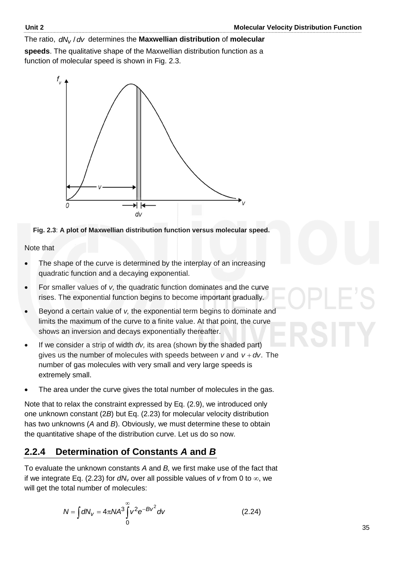The ratio,  $dN_V/dV$  determines the Maxwellian distribution of molecular

**speeds**. The qualitative shape of the Maxwellian distribution function as a function of molecular speed is shown in Fig. 2.3.





Note that

- The shape of the curve is determined by the interplay of an increasing quadratic function and a decaying exponential.
- For smaller values of *v,* the quadratic function dominates and the curve rises. The exponential function begins to become important gradually.
- Beyond a certain value of *v,* the exponential term begins to dominate and limits the maximum of the curve to a finite value. At that point, the curve shows an inversion and decays exponentially thereafter.
- If we consider a strip of width *dv,* its area (shown by the shaded part) gives us the number of molecules with speeds between  $v$  and  $v + dv$ . The number of gas molecules with very small and very large speeds is extremely small.
- The area under the curve gives the total number of molecules in the gas.

Note that to relax the constraint expressed by Eq. (2.9), we introduced only one unknown constant (2*B*) but Eq. (2.23) for molecular velocity distribution has two unknowns (*A* and *B*). Obviously, we must determine these to obtain the quantitative shape of the distribution curve. Let us do so now.

### **2.2.4 Determination of Constants** *A* **and** *B*

To evaluate the unknown constants *A* and *B,* we first make use of the fact that if we integrate Eq. (2.23) for  $dN<sub>v</sub>$  over all possible values of  $v$  from 0 to  $\infty$ , we will get the total number of molecules:

$$
N = \int dN_V = 4\pi N A^3 \int_0^\infty v^2 e^{-Bv^2} dv
$$
 (2.24)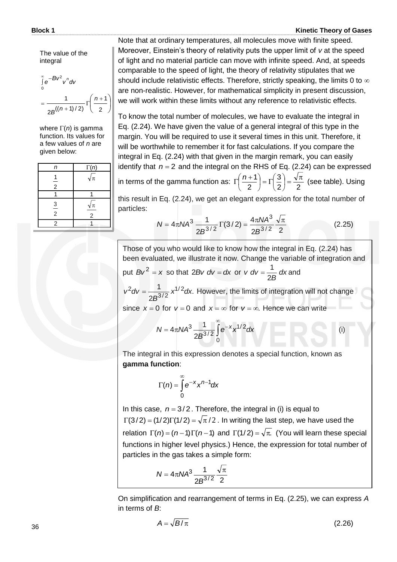The value of the integral

 $\overline{\phantom{a}}$  $\bigg)$  $\left(\frac{n+1}{2}\right)$  $\setminus$  $=\frac{1}{2R((n+1)/2)}\Gamma\left(\frac{n+1}{2}\right)$  $\int^{\infty}$ e<sup>-</sup> 2 1  $2B^{((n+1)/2)}$ 1 *n* 0  $e^{-BV^2}v^n$ dv *n B*

where  $\Gamma(n)$  is gamma function. Its values for a few values of *n* are given below:

| n             | $\Gamma(n)$                    |
|---------------|--------------------------------|
| $\frac{1}{2}$ | $\sqrt{\pi}$                   |
|               |                                |
| $\frac{3}{2}$ | $\sqrt{\pi}$<br>$\overline{2}$ |
| $\mathcal{P}$ |                                |

Note that at ordinary temperatures, all molecules move with finite speed. Moreover, Einstein's theory of relativity puts the upper limit of *v* at the speed of light and no material particle can move with infinite speed. And, at speeds comparable to the speed of light, the theory of relativity stipulates that we should include relativistic effects. Therefore, strictly speaking, the limits 0 to  $\infty$ are non-realistic. However, for mathematical simplicity in present discussion, we will work within these limits without any reference to relativistic effects.

To know the total number of molecules, we have to evaluate the integral in Eq. (2.24). We have given the value of a general integral of this type in the margin. You will be required to use it several times in this unit. Therefore, it will be worthwhile to remember it for fast calculations. If you compare the integral in Eq. (2.24) with that given in the margin remark, you can easily identify that  $n = 2$  and the integral on the RHS of Eq. (2.24) can be expressed in terms of the gamma function as: 3  $\left(\frac{1}{2}\right) = \Gamma\left(\frac{3}{2}\right) = \frac{\sqrt{\pi}}{2}$  $\left(\frac{3}{2}\right)$  $\Big| = \Gamma$  $\left(\frac{n+1}{2}\right)$  $\Gamma\left(\frac{n+1}{2}\right) = \Gamma\left(\frac{3}{2}\right) = \frac{\sqrt{\pi}}{2}$  (see table). Using

this result in Eq. (2.24), we get an elegant expression for the total number of particles:

 $\setminus$ 

2

$$
N = 4\pi N A^3 \frac{1}{2B^{3/2}} \Gamma(3/2) = \frac{4\pi N A^3}{2B^{3/2}} \frac{\sqrt{\pi}}{2}
$$
 (2.25)

 $\overline{\phantom{a}}$ 

2) 2

 $\bigg)$ 

 $\setminus$ 

Those of you who would like to know how the integral in Eq. (2.24) has been evaluated, we illustrate it now. Change the variable of integration and put  $Bv^2 = x$  so that 2*Bv*  $dv = dx$  or  $v dv = \frac{1}{2} dx$ *B v dv* 2  $=\frac{1}{25}$  dx and

. 2 1  $\sqrt{1/2}$  $3/2$  $^{2}dv = \frac{1}{2^{12}}x^{1/2}dx$ *B*  $v^2 dv = \frac{1}{2} \int_0^1 \frac{v^2}{x^2} dx$ . However, the limits of integration will not change since  $x = 0$  for  $v = 0$  and  $x = \infty$  for  $v = \infty$ . Hence we can write

$$
N = 4\pi N A^3 \frac{1}{2B^{3/2}} \int_{0}^{\infty} e^{-x} x^{1/2} dx
$$
 (i)

The integral in this expression denotes a special function, known as **gamma function**:

$$
\Gamma(n) = \int_{0}^{\infty} e^{-x} x^{n-1} dx
$$

In this case,  $n = 3/2$ . Therefore, the integral in (i) is equal to  $\Gamma(3/2) = (1/2)\Gamma(1/2) = \sqrt{\pi/2}$ . In writing the last step, we have used the relation  $\Gamma(n) = (n-1)\Gamma(n-1)$  and  $\Gamma(1/2) = \sqrt{\pi}$ . (You will learn these special functions in higher level physics.) Hence, the expression for total number of particles in the gas takes a simple form:

$$
N = 4\pi N A^3 \frac{1}{2B^{3/2}} \frac{\sqrt{\pi}}{2}
$$

On simplification and rearrangement of terms in Eq. (2.25), we can express *A* in terms of *B*:

$$
A = \sqrt{B/\pi} \tag{2.26}
$$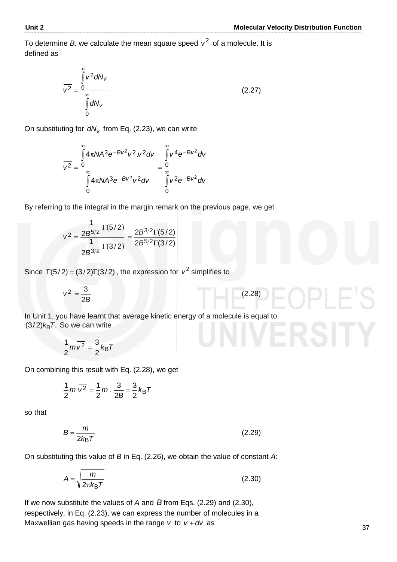(2.28)

To determine *B*, we calculate the mean square speed  $v^2$  of a molecule. It is defined as

$$
\overline{v^2} = \frac{\int_0^\infty v^2 dN_v}{\int_0^\infty dN_v}
$$
 (2.27)

On substituting for *dN<sup>v</sup>* from Eq. (2.23), we can write

$$
\overline{v^2} = \frac{\int_{0}^{\infty} 4\pi N A^3 e^{-Bv^2} v^2 v^2 dv}{\int_{0}^{\infty} 4\pi N A^3 e^{-Bv^2} v^2 dv} = \frac{\int_{0}^{\infty} v^4 e^{-Bv^2} dv}{\int_{0}^{\infty} v^2 e^{-Bv^2} dv}
$$

By referring to the integral in the margin remark on the previous page, we get

$$
\overline{v^2} = \frac{\frac{1}{2B^{5/2}}\Gamma(5/2)}{\frac{1}{2B^{3/2}}\Gamma(3/2)} = \frac{2B^{3/2}\Gamma(5/2)}{2B^{5/2}\Gamma(3/2)}
$$

Since  $\Gamma(5/2) = (3/2)\Gamma(3/2)$ , the expression for  $v^2$  simplifies to

$$
\overline{v^2} = \frac{3}{2B}
$$

In Unit 1, you have learnt that average kinetic energy of a molecule is equal to  $(3/2)$ *k*<sub>B</sub>T. So we can write

$$
\frac{1}{2}m\overline{v^2}=\frac{3}{2}k_BT
$$

On combining this result with Eq. (2.28), we get

$$
\frac{1}{2}m\,\overline{v^2}=\frac{1}{2}m\cdot\frac{3}{2B}=\frac{3}{2}k_BT
$$

so that

$$
B = \frac{m}{2k_{\text{B}}T} \tag{2.29}
$$

On substituting this value of *B* in Eq. (2.26), we obtain the value of constant *A*:

$$
A = \sqrt{\frac{m}{2\pi k_{\text{B}}T}}
$$
 (2.30)

If we now substitute the values of *A* and *B* from Eqs. (2.29) and (2.30), respectively, in Eq. (2.23), we can express the number of molecules in a Maxwellian gas having speeds in the range  $v$  to  $v + dv$  as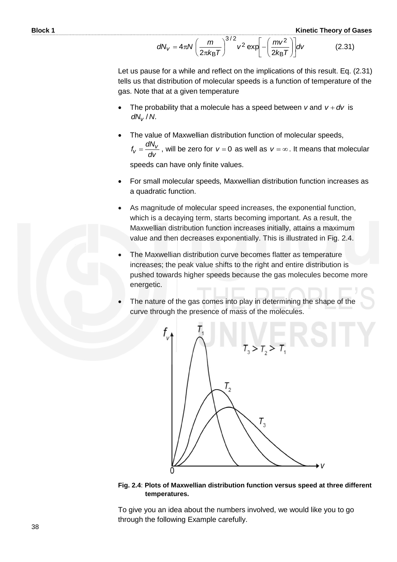$$
dN_V = 4\pi N \left(\frac{m}{2\pi k_B T}\right)^{3/2} v^2 \exp\left[-\left(\frac{mv^2}{2k_B T}\right)\right] dv \qquad (2.31)
$$

Let us pause for a while and reflect on the implications of this result. Eq. (2.31) tells us that distribution of molecular speeds is a function of temperature of the gas. Note that at a given temperature

- The probability that a molecule has a speed between  $v$  and  $v + dv$  is *dN<sub>v</sub>* / *N*.
- The value of Maxwellian distribution function of molecular speeds, *dv*  $f_V = \frac{dN_V}{dV}$ , will be zero for  $v = 0$  as well as  $v = \infty$ . It means that molecular

speeds can have only finite values.

- For small molecular speeds*,* Maxwellian distribution function increases as a quadratic function.
- As magnitude of molecular speed increases, the exponential function, which is a decaying term, starts becoming important. As a result, the Maxwellian distribution function increases initially, attains a maximum value and then decreases exponentially. This is illustrated in Fig. 2.4.
- The Maxwellian distribution curve becomes flatter as temperature increases; the peak value shifts to the right and entire distribution is pushed towards higher speeds because the gas molecules become more energetic.
- The nature of the gas comes into play in determining the shape of the curve through the presence of mass of the molecules.



**Fig. 2.4**: **Plots of Maxwellian distribution function versus speed at three different temperatures.** 

To give you an idea about the numbers involved, we would like you to go through the following Example carefully.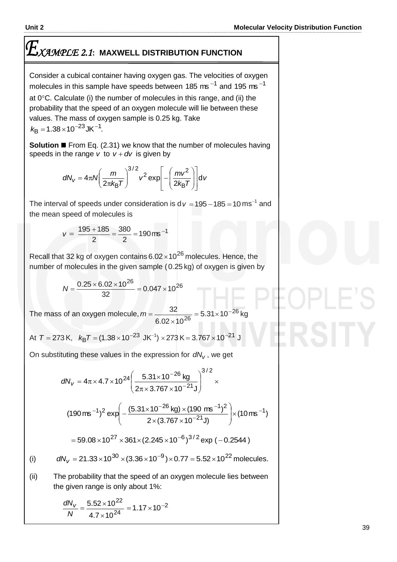# *XAMPLE 2.1***: MAXWELL DISTRIBUTION FUNCTION**

Consider a cubical container having oxygen gas. The velocities of oxygen molecules in this sample have speeds between 185 ms<sup>-1</sup> and 195 ms<sup>-1</sup> at  $0^{\circ}$ C. Calculate (i) the number of molecules in this range, and (ii) the probability that the speed of an oxygen molecule will lie between these values. The mass of oxygen sample is 0.25 kg. Take  $k_{\text{B}} = 1.38 \times 10^{-23} \text{JK}^{-1}$ .

**Solution** ■ From Eq. (2.31) we know that the number of molecules having speeds in the range *v* to  $v + dv$  is given by

$$
dN_V = 4\pi N \left(\frac{m}{2\pi k_B T}\right)^{3/2} v^2 \exp\left[-\left(\frac{mv^2}{2k_B T}\right)\right] dv
$$

The interval of speeds under consideration is  $dv = 195 - 185 = 10$  ms<sup>-1</sup> and the mean speed of molecules is

$$
v = \frac{195 + 185}{2} = \frac{380}{2} = 190 \,\text{ms}^{-1}
$$

Recall that 32 kg of oxygen contains  $6.02 \times 10^{26}$  molecules. Hence, the number of molecules in the given sample (0.25 kg) of oxygen is given by

$$
N = \frac{0.25 \times 6.02 \times 10^{26}}{32} = 0.047 \times 10^{26}
$$

The mass of an oxygen molecule, *m* 26  $\frac{32}{6.02 \times 10^{26}} = 5.31 \times 10$  $\frac{32}{26}$  = 5.31 × 10<sup>-1</sup>  $\times$ kg

At 
$$
T = 273
$$
 K,  $k_B T = (1.38 \times 10^{-23} \text{ J/K}^{-1}) \times 273 \text{ K} = 3.767 \times 10^{-21} \text{ J}$ 

On substituting these values in the expression for *dN<sup>v</sup>* , we get

$$
dN_{V} = 4\pi \times 4.7 \times 10^{24} \left( \frac{5.31 \times 10^{-26} \text{ kg}}{2\pi \times 3.767 \times 10^{-21} \text{ J}} \right)^{3/2} \times
$$
  
\n
$$
(190 \text{ ms}^{-1})^{2} \exp \left( -\frac{(5.31 \times 10^{-26} \text{ kg}) \times (190 \text{ ms}^{-1})^{2}}{2 \times (3.767 \times 10^{-21} \text{ J})} \right) \times (10 \text{ ms}^{-1})
$$
  
\n
$$
= 59.08 \times 10^{27} \times 361 \times (2.245 \times 10^{-6})^{3/2} \exp (-0.2544)
$$
  
\n(i) 
$$
dN_{V} = 21.33 \times 10^{30} \times (3.36 \times 10^{-9}) \times 0.77 = 5.52 \times 10^{22} \text{ molecules.}
$$

(ii) The probability that the speed of an oxygen molecule lies between the given range is only about 1%:

$$
\frac{dN_v}{N} = \frac{5.52 \times 10^{22}}{4.7 \times 10^{24}} = 1.17 \times 10^{-2}
$$

(i)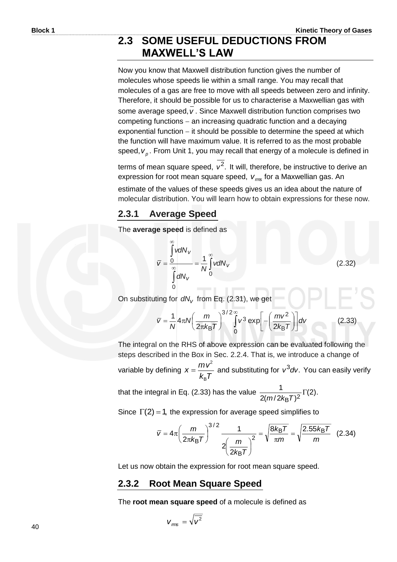#### **2.3 SOME USEFUL DEDUCTIONS FROM MAXWELL'S LAW**

Now you know that Maxwell distribution function gives the number of molecules whose speeds lie within a small range. You may recall that molecules of a gas are free to move with all speeds between zero and infinity. Therefore, it should be possible for us to characterise a Maxwellian gas with some average speed, *v* . Since Maxwell distribution function comprises two competing functions  $-$  an increasing quadratic function and a decaying exponential function  $-$  it should be possible to determine the speed at which the function will have maximum value. It is referred to as the most probable speed,  $v_p$ . From Unit 1, you may recall that energy of a molecule is defined in

terms of mean square speed,  $v^2$ . It will, therefore, be instructive to derive an expression for root mean square speed, *vrms* for a Maxwellian gas. An

estimate of the values of these speeds gives us an idea about the nature of molecular distribution. You will learn how to obtain expressions for these now.

#### **2.3.1 Average Speed**

The **average speed** is defined as

$$
\overline{V} = \frac{\int_{0}^{\infty} v dN_{V}}{\int_{0}^{\infty} dN_{V}} = \frac{1}{N} \int_{0}^{\infty} v dN_{V}
$$
\n(2.32)

On substituting for  $dN_v$  from Eq. (2.31), we get

$$
\overline{v} = \frac{1}{N} 4\pi N \left(\frac{m}{2\pi k_{\text{B}}T}\right)^{3/2} \int_{0}^{\infty} v^{3} \exp\left[-\left(\frac{mv^{2}}{2k_{\text{B}}T}\right)\right] dv
$$
 (2.33)

The integral on the RHS of above expression can be evaluated following the steps described in the Box in Sec. 2.2.4. That is, we introduce a change of variable by defining  $k_{\rm B}$ *T*  $x = \frac{mv}{l}$ B 2  $=\frac{mv}{l\tau}$  and substituting for  $v^3$  dv. You can easily verify that the integral in Eq. (2.33) has the value  $\frac{1}{2}$   $\frac{1}{2}$   $\frac{1}{2}$   $\frac{1}{2}$   $\frac{1}{2}$   $\frac{1}{2}$   $\frac{1}{2}$   $\frac{1}{2}$   $\frac{1}{2}$   $\frac{1}{2}$   $\frac{1}{2}$   $\frac{1}{2}$   $\frac{1}{2}$   $\frac{1}{2}$   $\frac{1}{2}$   $\frac{1}{2}$   $\frac{1}{2}$   $\frac{1$  $2(m/2k_{\rm B}T)$ 1  $E_{\mathsf{B}}T)^2$  $\Gamma$  $m/2k_B$ 

Since  $\Gamma(2) = 1$ , the expression for average speed simplifies to

$$
\overline{v} = 4\pi \left(\frac{m}{2\pi k_{\text{B}}T}\right)^{3/2} \frac{1}{2\left(\frac{m}{2k_{\text{B}}T}\right)^{2}} = \sqrt{\frac{8k_{\text{B}}T}{\pi m}} = \sqrt{\frac{2.55k_{\text{B}}T}{m}} \quad (2.34)
$$

Let us now obtain the expression for root mean square speed.

#### **2.3.2 Root Mean Square Speed**

The **root mean square speed** of a molecule is defined as

$$
V_{\text{rms}} = \sqrt{\overline{V^2}}
$$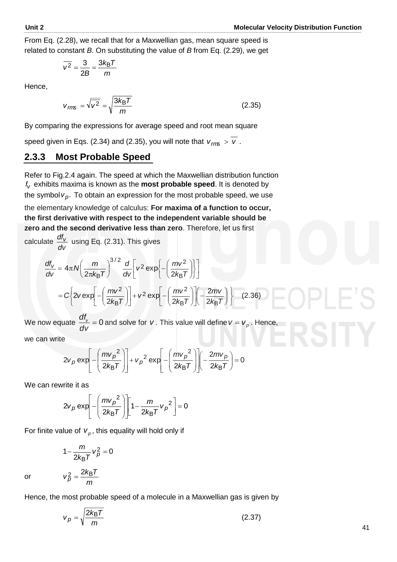From Eq. (2.28), we recall that for a Maxwellian gas, mean square speed is related to constant *B*. On substituting the value of *B* from Eq. (2.29), we get

$$
\overline{v^2} = \frac{3}{2B} = \frac{3k_BT}{m}
$$

Hence,

$$
v_{\text{rms}} = \sqrt{\overline{v^2}} = \sqrt{\frac{3k_B T}{m}}
$$
 (2.35)

By comparing the expressions for average speed and root mean square

speed given in Eqs. (2.34) and (2.35), you will note that  $\overline{\phantom{0}}$  $v_{\text{rms}} > v$ .

#### **2.3.3 Most Probable Speed**

Refer to Fig.2.4 again. The speed at which the Maxwellian distribution function *v f* exhibits maxima is known as the **most probable speed**. It is denoted by the symbol  $v_p$ . To obtain an expression for the most probable speed, we use

the elementary knowledge of calculus: **For maxima of a function to occur, the first derivative with respect to the independent variable should be zero and the second derivative less than zero**. Therefore, let us first

calculate *dv*  $\frac{df_v}{f}$  using Eq. (2.31). This gives

$$
\frac{df_v}{dv} = 4\pi N \left(\frac{m}{2\pi k_B T}\right)^{3/2} \frac{d}{dv} \left[v^2 \exp\left\{-\left(\frac{mv^2}{2k_B T}\right)\right\}\right]
$$

$$
= C \left\{2v \exp\left[-\left(\frac{mv^2}{2k_B T}\right)\right] + v^2 \exp\left[-\left(\frac{mv^2}{2k_B T}\right)\right] \left(-\frac{2mv}{2k_B T}\right)\right\} \quad (2.36)
$$

We now equate  $\frac{u v}{f} = 0$ *dv*  $\frac{df_v}{dx}$  = 0 and solve for *v*. This value will define *v* = *v<sub>p</sub>*. Hence,

we can write

$$
2v_p \exp\left[-\left(\frac{mv_p^2}{2k_BT}\right)\right] + v_p^2 \exp\left[-\left(\frac{mv_p^2}{2k_BT}\right)\right] \left(-\frac{2mv_p}{2k_BT}\right) = 0
$$

We can rewrite it as

$$
2v_p \exp\left[-\left(\frac{mv_p^2}{2k_BT}\right)\right] \left[1-\frac{m}{2k_BT}v_p^2\right] = 0
$$

For finite value of  $v_p$ , this equality will hold only if

$$
1-\frac{m}{2k_{\rm B}T}v_{\rho}^2=0
$$

*m*  $v_p^2 = \frac{2k_B T}{m}$ 

or

Hence, the most probable speed of a molecule in a Maxwellian gas is given by

$$
v_p = \sqrt{\frac{2k_B T}{m}}
$$
 (2.37)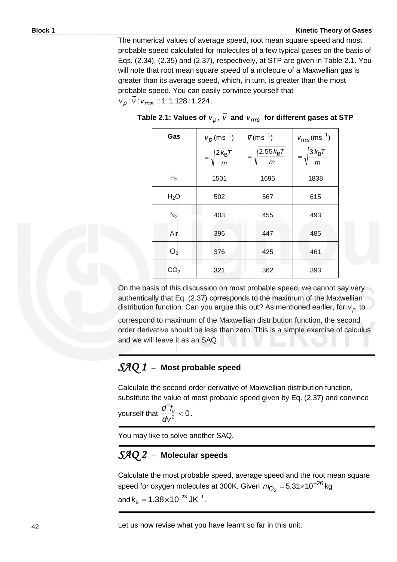The numerical values of average speed, root mean square speed and most probable speed calculated for molecules of a few typical gases on the basis of Eqs. (2.34), (2.35) and (2.37), respectively, at STP are given in Table 2.1. You will note that root mean square speed of a molecule of a Maxwellian gas is greater than its average speed, which, in turn, is greater than the most probable speed. You can easily convince yourself that *v*<sub>p</sub>: *v*: *v*<sub>*rm*s</sub> :: 1: 1.128 : 1.224.

| Gas             | $v_p$ (ms <sup>-1</sup> )<br>$\frac{2 k_{\rm B} T}{m}$ | $\overline{v}$ (ms <sup>-1</sup> )<br>$2.55 k_B T$<br>$\overline{m}$ | $v_{\rm rms}$ (ms <sup>-1</sup> )<br>$\frac{3 k_{\text{B}} T}{m}$ |
|-----------------|--------------------------------------------------------|----------------------------------------------------------------------|-------------------------------------------------------------------|
| H <sub>2</sub>  | 1501                                                   | 1695                                                                 | 1838                                                              |
| $H_2O$          | 502                                                    | 567                                                                  | 615                                                               |
| $N_2$           | 403                                                    | 455                                                                  | 493                                                               |
| Air             | 396                                                    | 447                                                                  | 485                                                               |
| O <sub>2</sub>  | 376                                                    | 425                                                                  | 461                                                               |
| CO <sub>2</sub> | 321                                                    | 362                                                                  | 393                                                               |

| Table 2.1: Values of $v_p$ , $v$ and $v_{rms}$ for different gases at STP |  |  |  |
|---------------------------------------------------------------------------|--|--|--|
|---------------------------------------------------------------------------|--|--|--|

On the basis of this discussion on most probable speed, we cannot say very authentically that Eq. (2.37) corresponds to the maximum of the Maxwellian distribution function. Can you argue this out? As mentioned earlier, for  $v_p$  to

correspond to maximum of the Maxwellian distribution function, the second order derivative should be less than zero. This is a simple exercise of calculus and we will leave it as an SAQ.

#### *SAQ 1* –**Most probable speed**

Calculate the second order derivative of Maxwellian distribution function, substitute the value of most probable speed given by Eq. (2.37) and convince

yourself that  $\frac{d^2v}{dx^2} < 0$ 2  $\lt$ *dv*  $\frac{d^2 f_{v}}{dt^2}$  < 0.

You may like to solve another SAQ.

# *SAQ 2* –**Molecular speeds**

Calculate the most probable speed, average speed and the root mean square speed for oxygen molecules at 300K. Given  $\,m_{\!O_2^{}}=$  5.31 $\times$ 10<sup>–26</sup> kg and  $k_{\rm B} = 1.38\times10^{-23}$  JK<sup>-1</sup>  $k_{\rm B} = 1.38 \times 10^{-23} \text{ JK}^{-1}$ .

Let us now revise what you have learnt so far in this unit.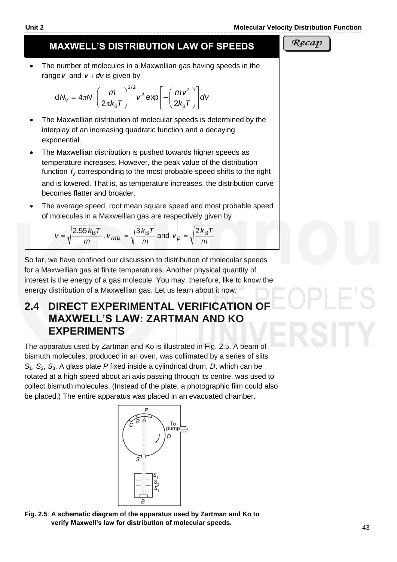# **MAXWELL'S DISTRIBUTION LAW OF SPEEDS**

 The number of molecules in a Maxwellian gas having speeds in the range *v* and  $v + dv$  is given by

$$
dN_V = 4\pi N \left(\frac{m}{2\pi k_B T}\right)^{3/2} v^2 \exp\left[-\left(\frac{mv^2}{2k_B T}\right)\right] dv
$$

- The Maxwellian distribution of molecular speeds is determined by the interplay of an increasing quadratic function and a decaying exponential.
- The Maxwellian distribution is pushed towards higher speeds as temperature increases. However, the peak value of the distribution function  $f_V$  corresponding to the most probable speed shifts to the right and is lowered. That is, as temperature increases, the distribution curve becomes flatter and broader.
- The average speed, root mean square speed and most probable speed of molecules in a Maxwellian gas are respectively given by

$$
\overline{v}
$$
 =  $\sqrt{\frac{2.55 \, \text{kgT}}{m}}$ ,  $v_{\text{rms}} = \sqrt{\frac{3 \, \text{kgT}}{m}}$  and  $v_p = \sqrt{\frac{2 \, \text{kgT}}{m}}$ 

So far, we have confined our discussion to distribution of molecular speeds for a Maxwellian gas at finite temperatures. Another physical quantity of interest is the energy of a gas molecule. You may, therefore, like to know the energy distribution of a Maxwellian gas. Let us learn about it now.

# **2.4 DIRECT EXPERIMENTAL VERIFICATION OF MAXWELL'S LAW: ZARTMAN AND KO EXPERIMENTS**

The apparatus used by Zartman and Ko is illustrated in Fig. 2.5. A beam of bismuth molecules, produced in an oven, was collimated by a series of slits *S*1, *S*2, *S*3. A glass plate *P* fixed inside a cylindrical drum, *D*, which can be rotated at a high speed about an axis passing through its centre, was used to collect bismuth molecules. (Instead of the plate, a photographic film could also be placed.) The entire apparatus was placed in an evacuated chamber.

**Fig. 2.5**: **A schematic diagram of the apparatus used by Zartman and Ko to verify Maxwell's law for distribution of molecular speeds.**







 $\mathsf I$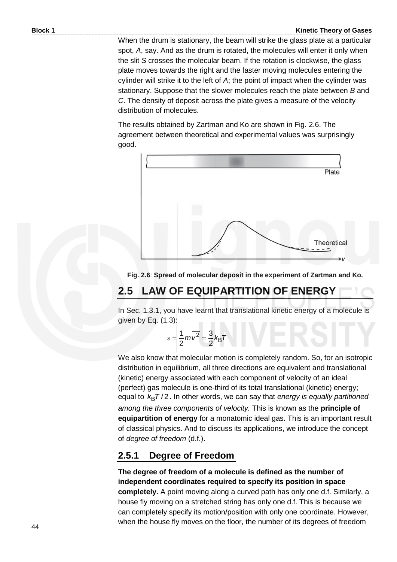When the drum is stationary, the beam will strike the glass plate at a particular spot, *A*, say. And as the drum is rotated, the molecules will enter it only when the slit *S* crosses the molecular beam. If the rotation is clockwise, the glass plate moves towards the right and the faster moving molecules entering the cylinder will strike it to the left of *A*; the point of impact when the cylinder was stationary. Suppose that the slower molecules reach the plate between *B* and *C*. The density of deposit across the plate gives a measure of the velocity distribution of molecules.

The results obtained by Zartman and Ko are shown in Fig. 2.6. The agreement between theoretical and experimental values was surprisingly good.



#### **Fig. 2.6**: **Spread of molecular deposit in the experiment of Zartman and Ko.**

## **2.5 LAW OF EQUIPARTITION OF ENERGY**

In Sec. 1.3.1, you have learnt that translational kinetic energy of a molecule is given by Eq. (1.3):

> $mv^2 = \frac{3}{2}k_B T$ 2 3 2  $\epsilon = \frac{1}{2} m v^2 =$

We also know that molecular motion is completely random. So, for an isotropic distribution in equilibrium, all three directions are equivalent and translational (kinetic) energy associated with each component of velocity of an ideal (perfect) gas molecule is one-third of its total translational (kinetic) energy; equal to  $k_BT/2$ . In other words, we can say that *energy is equally partitioned among the three components of velocity.* This is known as the **principle of equipartition of energy** for a monatomic ideal gas. This is an important result of classical physics. And to discuss its applications, we introduce the concept of *degree of freedom* (d.f.).

#### **2.5.1 Degree of Freedom**

**The degree of freedom of a molecule is defined as the number of independent coordinates required to specify its position in space completely.** A point moving along a curved path has only one d.f. Similarly, a house fly moving on a stretched string has only one d.f. This is because we can completely specify its motion/position with only one coordinate. However, when the house fly moves on the floor, the number of its degrees of freedom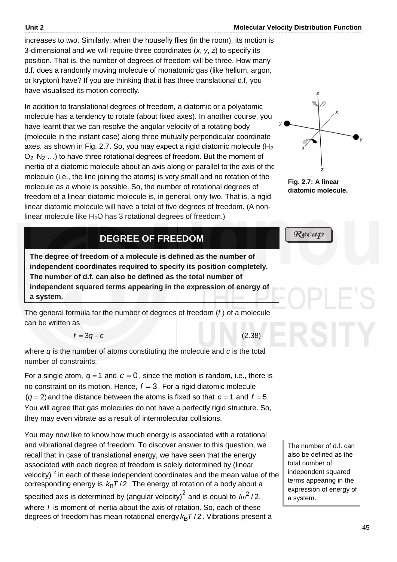increases to two. Similarly, when the housefly flies (in the room), its motion is 3-dimensional and we will require three coordinates (*x*, *y*, *z*) to specify its position. That is, the number of degrees of freedom will be three. How many d.f. does a randomly moving molecule of monatomic gas (like helium, argon, or krypton) have? If you are thinking that it has three translational d.f, you have visualised its motion correctly.

In addition to translational degrees of freedom, a diatomic or a polyatomic molecule has a tendency to rotate (about fixed axes). In another course, you have learnt that we can resolve the angular velocity of a rotating body (molecule in the instant case) along three mutually perpendicular coordinate axes, as shown in Fig. 2.7. So, you may expect a rigid diatomic molecule  $(H<sub>2</sub>)$  $O_2$ , N<sub>2</sub> ...) to have three rotational degrees of freedom. But the moment of inertia of a diatomic molecule about an axis along or parallel to the axis of the molecule (i.e., the line joining the atoms) is very small and no rotation of the molecule as a whole is possible. So, the number of rotational degrees of freedom of a linear diatomic molecule is, in general, only two. That is, a rigid linear diatomic molecule will have a total of five degrees of freedom. (A nonlinear molecule like  $H_2O$  has 3 rotational degrees of freedom.)

# **DEGREE OF FREEDOM**

**The degree of freedom of a molecule is defined as the number of independent coordinates required to specify its position completely***.* **The number of d.f. can also be defined as the total number of independent squared terms appearing in the expression of energy of a system.**

The general formula for the number of degrees of freedom (*f* ) of a molecule . can be written as

$$
f=3q-c
$$

(2.38)

where *q* is the number of atoms constituting the molecule and *c* is the total number of constraints.

For a single atom,  $q = 1$  and  $c = 0$ , since the motion is random, i.e., there is no constraint on its motion. Hence,  $f = 3$ . For a rigid diatomic molecule  $(q = 2)$  and the distance between the atoms is fixed so that  $c = 1$  and  $f = 5$ . You will agree that gas molecules do not have a perfectly rigid structure. So, they may even vibrate as a result of intermolecular collisions.

You may now like to know how much energy is associated with a rotational and vibrational degree of freedom. To discover answer to this question, we recall that in case of translational energy, we have seen that the energy associated with each degree of freedom is solely determined by (linear velocity)  $2$  in each of these independent coordinates and the mean value of the corresponding energy is  $k_{\text{B}}T/2$  . The energy of rotation of a body about a specified axis is determined by (angular velocity)<sup>2</sup> and is equal to  $\int \omega^2 / 2$ , where *I* is moment of inertia about the axis of rotation. So, each of these degrees of freedom has mean rotational energy *k*<sub>B</sub>T/2 . Vibrations present a



**Fig. 2.7: A linear diatomic molecule.**

 $Recap$ 

The number of d.f. can also be defined as the total number of independent squared terms appearing in the expression of energy of a system.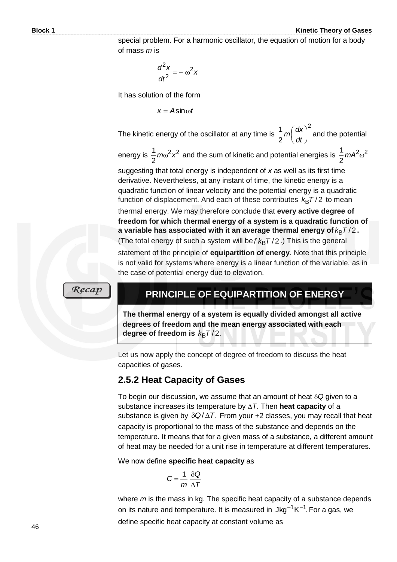**Block 1 Kinetic Theory of Gases**

special problem. For a harmonic oscillator, the equation of motion for a body of mass *m* is

$$
\frac{d^2x}{dt^2} = -\omega^2 x
$$

It has solution of the form

 $x = A\sin \omega t$ 

The kinetic energy of the oscillator at any time is 2 2  $\frac{1}{2}m\left(\frac{dx}{dt}\right)$  $\bigg)$  $\left(\frac{dx}{dt}\right)$  $\setminus$ ſ *dt*  $m\left(\frac{dx}{u}\right)^2$  and the potential

energy is  $\frac{1}{2} m \omega^2 x^2$ 2  $\frac{1}{6}$   $m\omega^2$ *x*<sup>2</sup> and the sum of kinetic and potential energies is  $\frac{1}{6}$   $m$ A<sup>2</sup> $\omega^2$ 2  $\frac{1}{6}$  *mA*<sup>2</sup>  $\omega$ 

suggesting that total energy is independent of *x* as well as its first time derivative. Nevertheless, at any instant of time, the kinetic energy is a quadratic function of linear velocity and the potential energy is a quadratic function of displacement. And each of these contributes  $k_B T/2$  to mean thermal energy. We may therefore conclude that **every active degree of freedom for which thermal energy of a system is a quadratic function of a** variable has associated with it an average thermal energy of  $k_{\mathsf{B}}\mathsf{T}/2$  **.** (The total energy of such a system will be  $f\,k_\text{B}T/2$  .) This is the general statement of the principle of **equipartition of energy**. Note that this principle is not valid for systems where energy is a linear function of the variable, as in

 $\mathcal{R}ecap$ 

### **PRINCIPLE OF EQUIPARTITION OF ENERGY**

**The thermal energy of a system is equally divided amongst all active degrees of freedom and the mean energy associated with each degree of freedom is**  $k_{\text{B}}T/2$ **.** 

Let us now apply the concept of degree of freedom to discuss the heat capacities of gases.

#### **2.5.2 Heat Capacity of Gases**

the case of potential energy due to elevation.

To begin our discussion, we assume that an amount of heat  $\delta Q$  given to a substance increases its temperature by *T*. Then **heat capacity** of a substance is given by  $\delta Q/\Delta T$ . From your +2 classes, you may recall that heat capacity is proportional to the mass of the substance and depends on the temperature. It means that for a given mass of a substance, a different amount of heat may be needed for a unit rise in temperature at different temperatures.

We now define **specific heat capacity** as

$$
C = \frac{1}{m} \frac{\delta Q}{\Delta T}
$$

where *m* is the mass in kg. The specific heat capacity of a substance depends on its nature and temperature. It is measured in  $\text{Jkg}^{-1} \text{K}^{-1}$ . For a gas, we define specific heat capacity at constant volume as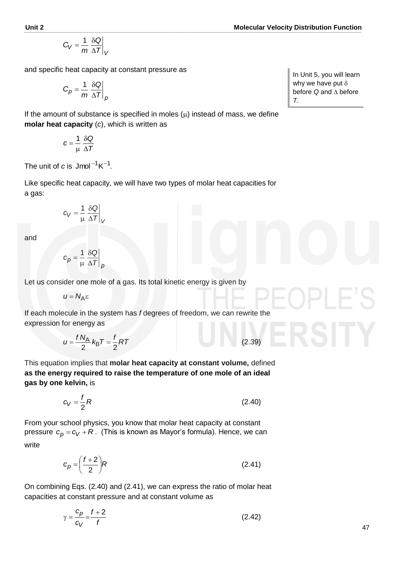$$
C_V = \frac{1}{m} \frac{\delta Q}{\Delta T}\bigg|_V
$$

and specific heat capacity at constant pressure as

$$
C_p = \frac{1}{m} \frac{\delta Q}{\Delta T}\bigg|_p
$$

If the amount of substance is specified in moles  $(\mu)$  instead of mass, we define **molar heat capacity** (*c*), which is written as

$$
c=\frac{1}{\mu}\,\frac{\delta Q}{\Delta T}
$$

The unit of  $c$  is  $J$ mol $^{-1}$ K $^{-1}$ .

Like specific heat capacity, we will have two types of molar heat capacities for a gas:

$$
c_V = \frac{1}{\mu} \left. \frac{\delta Q}{\Delta T} \right|_V
$$

and

$$
c_p = \frac{1}{\mu} \left. \frac{\delta Q}{\Delta T} \right|_p
$$

Let us consider one mole of a gas. Its total kinetic energy is given by

$$
u = N_A \varepsilon
$$

If each molecule in the system has *f* degrees of freedom, we can rewrite the expression for energy as

$$
u = \frac{f N_A}{2} k_B T = \frac{f}{2} RT
$$

This equation implies that **molar heat capacity at constant volume,** defined **as the energy required to raise the temperature of one mole of an ideal gas by one kelvin,** is

$$
c_V = \frac{f}{2}R\tag{2.40}
$$

 $(2.39)$ 

From your school physics, you know that molar heat capacity at constant pressure  $c_p$  =  $c_V$  +  $R$  . (This is known as Mayor's formula). Hence, we can write

$$
c_p = \left(\frac{f+2}{2}\right)R\tag{2.41}
$$

On combining Eqs. (2.40) and (2.41), we can express the ratio of molar heat capacities at constant pressure and at constant volume as

$$
\gamma = \frac{c_p}{c_V} = \frac{f+2}{f} \tag{2.42}
$$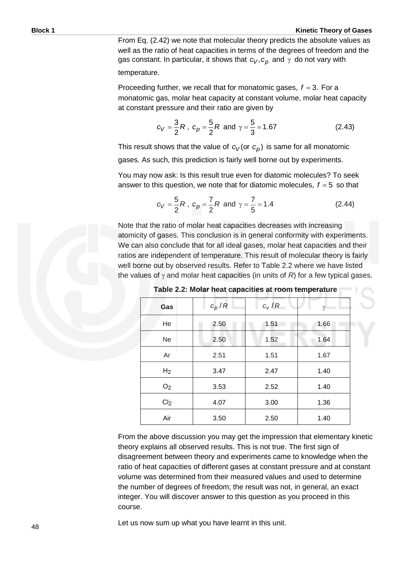From Eq. (2.42) we note that molecular theory predicts the absolute values as well as the ratio of heat capacities in terms of the degrees of freedom and the gas constant. In particular, it shows that  $c_V, c_p$  and  $\gamma$  do not vary with temperature.

Proceeding further, we recall that for monatomic gases,  $f = 3$ . For a monatomic gas, molar heat capacity at constant volume, molar heat capacity at constant pressure and their ratio are given by

$$
c_V = \frac{3}{2}R
$$
,  $c_p = \frac{5}{2}R$  and  $\gamma = \frac{5}{3} = 1.67$  (2.43)

This result shows that the value of  $c_V$  (or  $c_p$ ) is same for all monatomic

gases. As such, this prediction is fairly well borne out by experiments.

You may now ask: Is this result true even for diatomic molecules? To seek answer to this question, we note that for diatomic molecules,  $f = 5$  so that

$$
c_V = \frac{5}{2}R
$$
,  $c_p = \frac{7}{2}R$  and  $\gamma = \frac{7}{5} = 1.4$  (2.44)

Note that the ratio of molar heat capacities decreases with increasing atomicity of gases. This conclusion is in general conformity with experiments. We can also conclude that for all ideal gases, molar heat capacities and their ratios are independent of temperature. This result of molecular theory is fairly well borne out by observed results. Refer to Table 2.2 where we have listed the values of  $\gamma$  and molar heat capacities (in units of *R*) for a few typical gases.

| Gas             | $c_p/R$ | $c_V/R$ | γ    |
|-----------------|---------|---------|------|
| He              | 2.50    | 1.51    | 1.66 |
| <b>Ne</b>       | 2.50    | 1.52    | 1.64 |
| Ar              | 2.51    | 1.51    | 1.67 |
| H <sub>2</sub>  | 3.47    | 2.47    | 1.40 |
| O <sub>2</sub>  | 3.53    | 2.52    | 1.40 |
| Cl <sub>2</sub> | 4.07    | 3.00    | 1.36 |
| Air             | 3.50    | 2.50    | 1.40 |

**Table 2.2: Molar heat capacities at room temperature** 

From the above discussion you may get the impression that elementary kinetic theory explains all observed results. This is not true. The first sign of disagreement between theory and experiments came to knowledge when the ratio of heat capacities of different gases at constant pressure and at constant volume was determined from their measured values and used to determine the number of degrees of freedom; the result was not, in general, an exact integer. You will discover answer to this question as you proceed in this course.

Let us now sum up what you have learnt in this unit.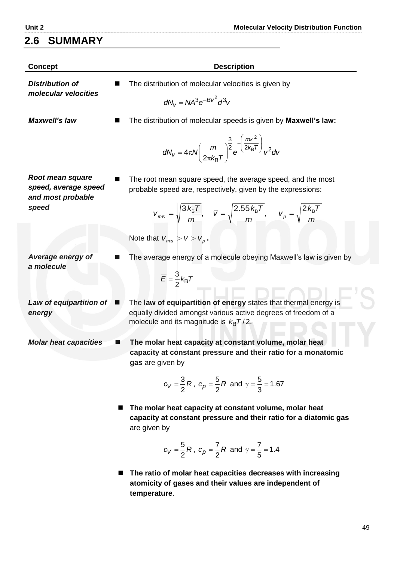# **2.6 SUMMARY**

| <b>Concept</b>                                                | <b>Description</b>                                                                                                                                                                   |
|---------------------------------------------------------------|--------------------------------------------------------------------------------------------------------------------------------------------------------------------------------------|
| <b>Distribution of</b><br>molecular velocities                | The distribution of molecular velocities is given by                                                                                                                                 |
|                                                               | $dN_v = NA^3 e^{-BV^2} d^3v$                                                                                                                                                         |
| <b>Maxwell's law</b>                                          | The distribution of molecular speeds is given by Maxwell's law:                                                                                                                      |
|                                                               | $dN_v = 4\pi N \left(\frac{m}{2\pi k_B T}\right)^{\frac{3}{2}} e^{-\left(\frac{mv^2}{2k_B T}\right)} v^2 dv$                                                                         |
| Root mean square<br>speed, average speed<br>and most probable | The root mean square speed, the average speed, and the most<br>probable speed are, respectively, given by the expressions:                                                           |
| speed                                                         | $V_{\text{rms}} = \sqrt{\frac{3 k_{\text{B}} T}{m}}, \quad \bar{V} = \sqrt{\frac{2.55 k_{\text{B}} T}{m}}, \quad V_{\rho} = \sqrt{\frac{2 k_{\text{B}} T}{m}}$                       |
|                                                               | Note that $V_{rms} > \overline{V} > V_{p}$ .                                                                                                                                         |
| Average energy of<br>a molecule                               | The average energy of a molecule obeying Maxwell's law is given by                                                                                                                   |
|                                                               | $\overline{E} = \frac{3}{2} k_{\text{B}} T$                                                                                                                                          |
| Law of equipartition of<br>energy                             | The law of equipartition of energy states that thermal energy is<br>■<br>equally divided amongst various active degrees of freedom of a<br>molecule and its magnitude is $k_B T/2$ . |
| <b>Molar heat capacities</b>                                  | The molar heat capacity at constant volume, molar heat<br>capacity at constant pressure and their ratio for a monatomic<br>gas are given by                                          |
|                                                               | $c_V = \frac{3}{2}R$ , $c_p = \frac{5}{2}R$ and $\gamma = \frac{5}{3} = 1.67$                                                                                                        |
|                                                               | The molar heat capacity at constant volume, molar heat<br>capacity at constant pressure and their ratio for a diatomic gas<br>are given by                                           |
|                                                               |                                                                                                                                                                                      |

$$
c_V = \frac{5}{2}R
$$
,  $c_p = \frac{7}{2}R$  and  $\gamma = \frac{7}{5} = 1.4$ 

 **The ratio of molar heat capacities decreases with increasing atomicity of gases and their values are independent of temperature**.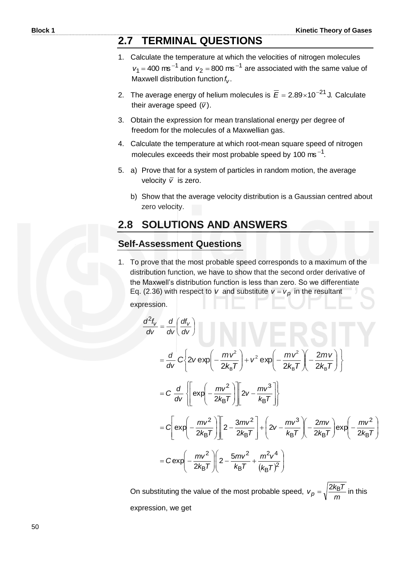# **2.7 TERMINAL QUESTIONS**

- 1. Calculate the temperature at which the velocities of nitrogen molecules  $v_1 = 400$  ms<sup>-1</sup> and  $v_2 = 800$  ms<sup>-1</sup> are associated with the same value of Maxwell distribution function  $f_V$ .
- 2. The average energy of helium molecules is  $\overline{E} = 2.89 \times 10^{-21}$  J. Calculate their average speed (*v* ).
- 3. Obtain the expression for mean translational energy per degree of freedom for the molecules of a Maxwellian gas.
- 4. Calculate the temperature at which root-mean square speed of nitrogen molecules exceeds their most probable speed by 100  $\text{ms}^{-1}$ .
- 5. a) Prove that for a system of particles in random motion, the average velocity  $\bar{v}$  is zero.
	- b) Show that the average velocity distribution is a Gaussian centred about zero velocity.

# **2.8 SOLUTIONS AND ANSWERS**

#### **Self-Assessment Questions**

1. To prove that the most probable speed corresponds to a maximum of the distribution function, we have to show that the second order derivative of the Maxwell's distribution function is less than zero. So we differentiate Eq. (2.36) with respect to v and substitute  $v = v_p$  in the resultant expression.

$$
\frac{d^2 f_V}{dV} = \frac{d}{dv} \left( \frac{df_V}{dv} \right)
$$
\n
$$
= \frac{d}{dv} C \left\{ 2v \exp \left( -\frac{mv^2}{2k_B T} \right) + v^2 \exp \left( -\frac{mv^2}{2k_B T} \right) \left( -\frac{2mv}{2k_B T} \right) \right\}
$$
\n
$$
= C \frac{d}{dv} \left\{ \left[ \exp \left( -\frac{mv^2}{2k_B T} \right) \right] \left[ 2v - \frac{mv^3}{k_B T} \right] \right\}
$$
\n
$$
= C \left[ \exp \left( -\frac{mv^2}{2k_B T} \right) \left[ 2 - \frac{3mv^2}{2k_B T} \right] + \left( 2v - \frac{mv^3}{k_B T} \right) \left( -\frac{2mv}{2k_B T} \right) \exp \left( -\frac{mv^2}{2k_B T} \right) \right]
$$
\n
$$
= C \exp \left( -\frac{mv^2}{2k_B T} \right) \left( 2 - \frac{5mv^2}{k_B T} + \frac{m^2 v^4}{(k_B T)^2} \right)
$$

 On substituting the value of the most probable speed, *m*  $v_p = \sqrt{\frac{2k_B T}{m}}$  in this expression, we get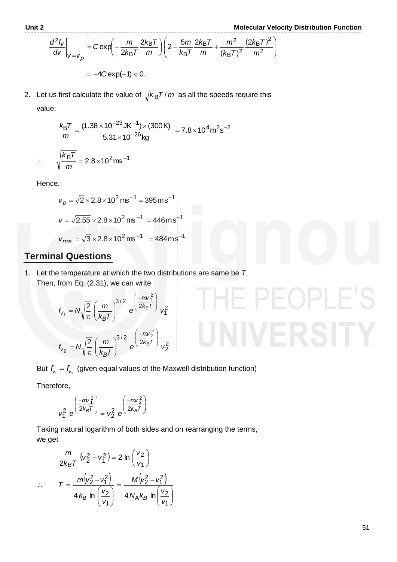IE PEOPLE'S

Unit 2  
\n
$$
\frac{d^2 f_V}{dv}\Big|_{V=V_p} = C \exp\left(-\frac{m}{2k_B T} \frac{2k_B T}{m}\right) \left(2 - \frac{5m}{k_B T} \frac{2k_B T}{m} + \frac{m^2}{(k_B T)^2} \frac{(2k_B T)^2}{m^2}\right)
$$
\n
$$
= -4C \exp(-1) < 0.
$$

2. Let us first calculate the value of  $\sqrt{k_{\mathsf{B}}T/m}$  as all the speeds require this value:

$$
\frac{k_{\rm B}T}{m} = \frac{(1.38 \times 10^{-23} \text{ J K}^{-1}) \times (300 \text{ K})}{5.31 \times 10^{-26} \text{ kg}} = 7.8 \times 10^{4} \text{ m}^{2} \text{s}^{-2}
$$

$$
\sqrt{\frac{k_{\rm B}T}{m}} = 2.8 \times 10^{2} \text{ m s}^{-1}
$$

Hence,

 $\ddot{\cdot}$ 

$$
v_p = \sqrt{2} \times 2.8 \times 10^2 \,\text{ms}^{-1} = 395 \,\text{ms}^{-1}
$$

$$
\overline{v} = \sqrt{2.55} \times 2.8 \times 10^2 \,\text{ms}^{-1} = 446 \,\text{ms}^{-1}
$$

$$
v_{\text{rms}} = \sqrt{3} \times 2.8 \times 10^2 \,\text{ms}^{-1} = 484 \,\text{ms}^{-1}
$$

#### **Terminal Questions**

1. Let the temperature at which the two distributions are same be *T*. Then, from Eq. (2.31), we can write

$$
f_{V_1} = N \sqrt{\frac{2}{\pi}} \left(\frac{m}{k_B T}\right)^{3/2} e^{\left(\frac{-m v_1^2}{2k_B T}\right)} v_1^2
$$

$$
f_{V_2} = N \sqrt{\frac{2}{\pi}} \left(\frac{m}{k_B T}\right)^{3/2} e^{\left(\frac{-m v_2^2}{2k_B T}\right)} v_2^2
$$

But  $f_{v_1} = f_{v_2}$  (given equal values of the Maxwell distribution function)

Therefore,

$$
v_1^2 e^{\left(\frac{-mv_1^2}{2k_BT}\right)} = v_2^2 e^{\left(\frac{-mv_2^2}{2k_BT}\right)}
$$

 Taking natural logarithm of both sides and on rearranging the terms, we get

$$
\frac{m}{2k_BT} (v_2^2 - v_1^2) = 2 \ln \left(\frac{v_2}{v_1}\right)
$$
  

$$
\therefore T = \frac{m(v_2^2 - v_1^2)}{4k_B \ln \left(\frac{v_2}{v_1}\right)} = \frac{M(v_2^2 - v_1^2)}{4N_Ak_B \ln \left(\frac{v_2}{v_1}\right)}
$$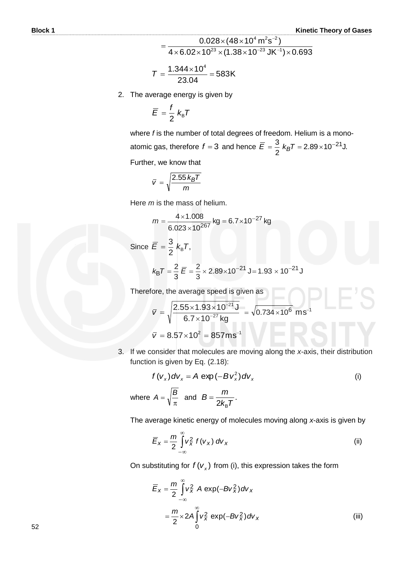$$
= \frac{0.028 \times (48 \times 10^{4} \text{ m}^{2} \text{s}^{-2})}{4 \times 6.02 \times 10^{23} \times (1.38 \times 10^{-23} \text{ J} \text{K}^{-1}) \times 0.693}
$$

$$
T=\frac{1.344\times10^4}{23.04}=583K
$$

2. The average energy is given by

$$
\overline{E}=\frac{f}{2}k_{\rm B}T
$$

where *f* is the number of total degrees of freedom. Helium is a monoatomic gas, therefore  $f = 3$  and hence  $E = \frac{9}{6}$   $k_B T = 2.89 \times 10^{-27}$ J. 2  $\overline{E} = \frac{3}{2} k_B T = 2.89 \times 10^{-21}$ 

Further, we know that

$$
\bar{v} = \sqrt{\frac{2.55 \, k_B T}{m}}
$$

Here *m* is the mass of helium.

$$
m = \frac{4 \times 1.008}{6.023 \times 10^{267}} \text{ kg} = 6.7 \times 10^{-27} \text{ kg}
$$

Since  $E = \frac{6}{5} k_{\rm B} T$ , 2  $\overline{E} = \frac{3}{2} k_{\text{B}}T$ 

$$
k_{\rm B}T = \frac{2}{3}\ \overline{E} = \frac{2}{3} \times 2.89 \times 10^{-21} \text{ J} = 1.93 \times 10^{-21} \text{ J}
$$

Therefore, the average speed is given as

$$
\overline{v} = \sqrt{\frac{2.55 \times 1.93 \times 10^{-21} \text{ J}}{6.7 \times 10^{-27} \text{ kg}}} = \sqrt{0.734 \times 10^6} \text{ ms}^{-1}
$$

$$
\overline{v} = 8.57 \times 10^2 = 857 \text{ ms}^{-1}
$$

3. If we consider that molecules are moving along the *x*-axis, their distribution function is given by Eq. (2.18):

$$
f(v_x) dv_x = A \exp(-Bv_x^2) dv_x
$$
 (i)  
where  $A = \sqrt{\frac{B}{\pi}}$  and  $B = \frac{m}{2k_B T}$ .

The average kinetic energy of molecules moving along *x*-axis is given by

$$
\overline{E}_X = \frac{m}{2} \int_{-\infty}^{\infty} V_X^2 f(v_X) dv_X
$$
 (ii)

On substituting for  $f(v_x)$  from (i), this expression takes the form

$$
\overline{E}_x = \frac{m}{2} \int_{-\infty}^{\infty} v_x^2 A \exp(-Bv_x^2) dv_x
$$
  
= 
$$
\frac{m}{2} \times 2A \int_0^{\infty} v_x^2 \exp(-Bv_x^2) dv_x
$$
 (iii)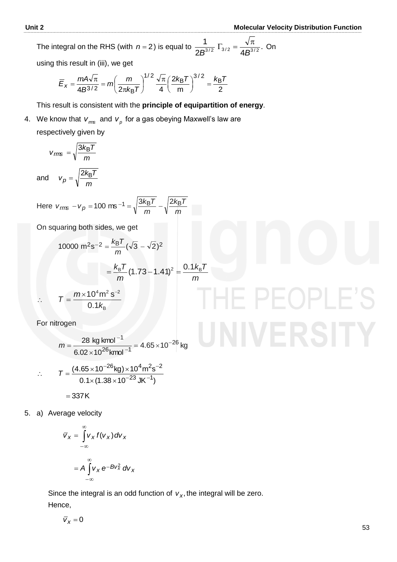The integral on the RHS (with  $n=2$ ) is equal to  $\frac{1}{62} \sum_{i=1}^3 \Gamma_{i}^2 = \frac{\sqrt{n}}{12}$ .  $2B^{3/2}$   $3/2$  4 1  $B^{3/2}$   $A B^{3/2}$   $A B^{3/2}$  $\Gamma_{3/2} = \frac{\sqrt{\pi}}{4 \, \Omega^{3/2}}$ . On

using this result in (iii), we get

$$
\overline{E}_x = \frac{mA\sqrt{\pi}}{4B^{3/2}} = m\left(\frac{m}{2\pi k_BT}\right)^{1/2} \frac{\sqrt{\pi}}{4} \left(\frac{2k_BT}{m}\right)^{3/2} = \frac{k_BT}{2}
$$

This result is consistent with the **principle of equipartition of energy**.

4. We know that  $v_{\scriptscriptstyle m\text{s}}$  and  $v_{\scriptscriptstyle p}$  for a gas obeying Maxwell's law are respectively given by

$$
v_{rms} = \sqrt{\frac{3k_{B}T}{m}}
$$
  

$$
v_{p} = \sqrt{\frac{2k_{B}T}{m}}
$$

and

**Here** *m Tk m*  $v_{\text{rms}} - v_{\text{p}} = 100 \text{ ms}^{-1} = \sqrt{\frac{3 k_{\text{B}} T}{m}} - \sqrt{\frac{2 k_{\text{B}} T}{m}}$ 

On squaring both sides, we get

*m*

10000 m<sup>2</sup>s<sup>-2</sup> = 
$$
\frac{k_B T}{m} (\sqrt{3} - \sqrt{2})^2
$$
  
=  $\frac{k_B T}{m} (1.73 - 1.41)^2 = \frac{0.1 k_B T}{m}$   
∴  $T = \frac{m \times 10^4 m^2 s^{-2}}{0.1 k_B}$ 

B

For nitrogen

$$
m = \frac{28 \text{ kg kmol}^{-1}}{6.02 \times 10^{26} \text{ kmol}^{-1}} = 4.65 \times 10^{-26} \text{ kg}
$$
  
∴ 
$$
T = \frac{(4.65 \times 10^{-26} \text{ kg}) \times 10^{4} \text{ m}^{2} \text{s}^{-2}}{0.1 \times (1.38 \times 10^{-23} \text{ J K}^{-1})}
$$

$$
= 337 \text{ K}
$$

5. a) Average velocity

$$
\overline{v}_x = \int_{-\infty}^{\infty} v_x f(v_x) dv_x
$$

$$
= A \int_{-\infty}^{\infty} v_x e^{-Bv_x^2} dv_x
$$

Since the integral is an odd function of  $v_x$ , the integral will be zero. Hence,

 $\overline{v}_x = 0$